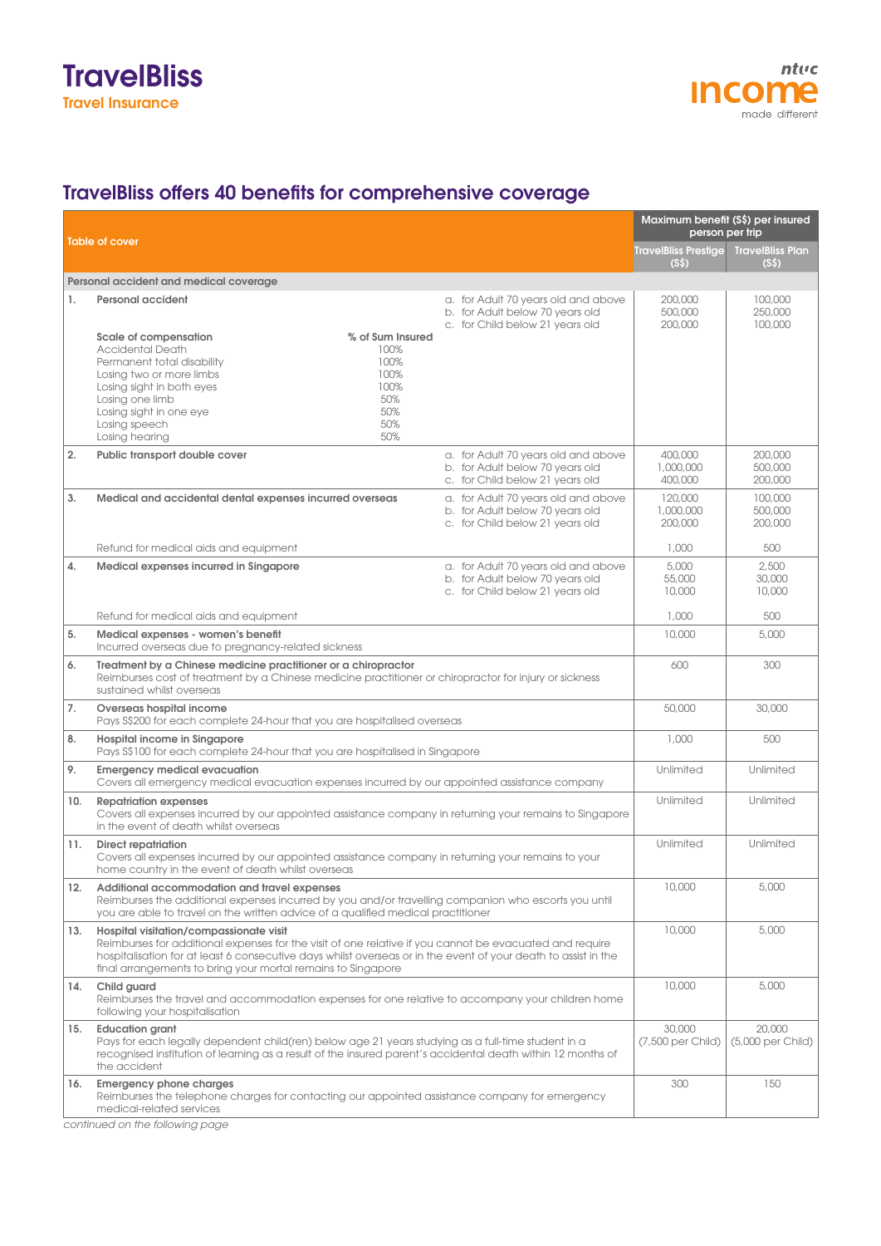

## TravelBliss offers 40 benefits for comprehensive coverage

|     |                                                                                                                                                                                                                                                                                                                                      |                                                                                                           | Maximum benefit (S\$) per insured<br>person per trip |                                              |  |
|-----|--------------------------------------------------------------------------------------------------------------------------------------------------------------------------------------------------------------------------------------------------------------------------------------------------------------------------------------|-----------------------------------------------------------------------------------------------------------|------------------------------------------------------|----------------------------------------------|--|
|     | <b>Table of cover</b>                                                                                                                                                                                                                                                                                                                |                                                                                                           | <b>TravelBliss Prestige</b><br>(S <sub>5</sub> )     | <b>TravelBliss Plan</b><br>(S <sub>5</sub> ) |  |
|     | Personal accident and medical coverage                                                                                                                                                                                                                                                                                               |                                                                                                           |                                                      |                                              |  |
| 1.  | Personal accident<br>Scale of compensation<br>% of Sum Insured                                                                                                                                                                                                                                                                       | a. for Adult 70 years old and above<br>b. for Adult below 70 years old<br>c. for Child below 21 years old | 200,000<br>500,000<br>200,000                        | 100,000<br>250,000<br>100,000                |  |
|     | <b>Accidental Death</b><br>100%<br>100%<br>Permanent total disability<br>Losing two or more limbs<br>100%<br>100%<br>Losing sight in both eyes<br>Losing one limb<br>50%<br>50%<br>Losing sight in one eye<br>Losing speech<br>50%<br>50%<br>Losing hearing                                                                          |                                                                                                           |                                                      |                                              |  |
| 2.  | Public transport double cover                                                                                                                                                                                                                                                                                                        | a. for Adult 70 years old and above<br>b. for Adult below 70 years old<br>c. for Child below 21 years old | 400,000<br>1,000,000<br>400,000                      | 200,000<br>500,000<br>200,000                |  |
| 3.  | Medical and accidental dental expenses incurred overseas                                                                                                                                                                                                                                                                             | a. for Adult 70 years old and above<br>b. for Adult below 70 years old<br>c. for Child below 21 years old | 120,000<br>1,000,000<br>200,000                      | 100,000<br>500,000<br>200,000                |  |
|     | Refund for medical aids and equipment                                                                                                                                                                                                                                                                                                |                                                                                                           | 1,000                                                | 500                                          |  |
| 4.  | Medical expenses incurred in Singapore                                                                                                                                                                                                                                                                                               | a. for Adult 70 years old and above<br>b. for Adult below 70 years old<br>c. for Child below 21 years old | 5,000<br>55,000<br>10,000                            | 2.500<br>30,000<br>10,000                    |  |
|     | Refund for medical aids and equipment                                                                                                                                                                                                                                                                                                |                                                                                                           | 1,000                                                | 500                                          |  |
| 5.  | Medical expenses - women's benefit<br>Incurred overseas due to pregnancy-related sickness                                                                                                                                                                                                                                            |                                                                                                           | 10,000                                               | 5,000                                        |  |
| 6.  | Treatment by a Chinese medicine practitioner or a chiropractor<br>Reimburses cost of treatment by a Chinese medicine practitioner or chiropractor for injury or sickness<br>sustained whilst overseas                                                                                                                                |                                                                                                           | 600                                                  | 300                                          |  |
| 7.  | Overseas hospital income<br>Pays S\$200 for each complete 24-hour that you are hospitalised overseas                                                                                                                                                                                                                                 |                                                                                                           | 50,000                                               | 30,000                                       |  |
| 8.  | Hospital income in Singapore<br>Pays S\$100 for each complete 24-hour that you are hospitalised in Singapore                                                                                                                                                                                                                         |                                                                                                           | 1,000                                                | 500                                          |  |
| 9.  | <b>Emergency medical evacuation</b><br>Covers all emergency medical evacuation expenses incurred by our appointed assistance company                                                                                                                                                                                                 |                                                                                                           | Unlimited                                            | <b>Unlimited</b>                             |  |
| 10. | <b>Repatriation expenses</b><br>Covers all expenses incurred by our appointed assistance company in returning your remains to Singapore<br>in the event of death whilst overseas                                                                                                                                                     |                                                                                                           | Unlimited                                            | <b>Unlimited</b>                             |  |
| 11. | <b>Direct repatriation</b><br>Covers all expenses incurred by our appointed assistance company in returning your remains to your<br>home country in the event of death whilst overseas                                                                                                                                               |                                                                                                           | Unlimited                                            | <b>Unlimited</b>                             |  |
| 12. | Additional accommodation and travel expenses<br>Reimburses the additional expenses incurred by you and/or travelling companion who escorts you until<br>you are able to travel on the written advice of a qualified medical practitioner                                                                                             |                                                                                                           | 10,000                                               | 5,000                                        |  |
| 13. | Hospital visitation/compassionate visit<br>Reimburses for additional expenses for the visit of one relative if you cannot be evacuated and require<br>hospitalisation for at least 6 consecutive days whilst overseas or in the event of your death to assist in the<br>final arrangements to bring your mortal remains to Singapore |                                                                                                           | 10,000                                               | 5,000                                        |  |
| 14. | Child guard<br>Reimburses the travel and accommodation expenses for one relative to accompany your children home<br>following your hospitalisation                                                                                                                                                                                   |                                                                                                           | 10,000                                               | 5,000                                        |  |
| 15. | <b>Education grant</b><br>Pays for each legally dependent child(ren) below age 21 years studying as a full-time student in a<br>recognised institution of learning as a result of the insured parent's accidental death within 12 months of<br>the accident                                                                          |                                                                                                           | 30,000<br>(7,500 per Child)                          | 20,000<br>(5,000 per Child)                  |  |
| 16. | <b>Emergency phone charges</b><br>Reimburses the telephone charges for contacting our appointed assistance company for emergency<br>medical-related services                                                                                                                                                                         |                                                                                                           | 300                                                  | 150                                          |  |

*continued on the following page*